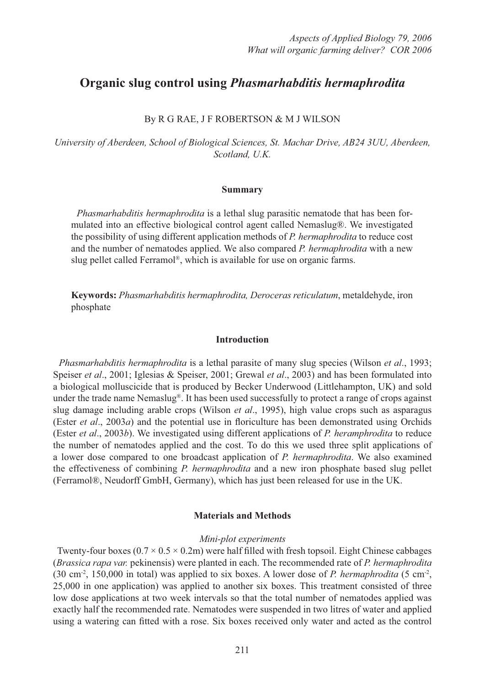# **Organic slug control using** *Phasmarhabditis hermaphrodita*

# By R G RAE, J F ROBERTSON & M J WILSON

*University of Aberdeen, School of Biological Sciences, St. Machar Drive, AB24 3UU, Aberdeen, Scotland, U.K.*

#### **Summary**

 *Phasmarhabditis hermaphrodita* is a lethal slug parasitic nematode that has been formulated into an effective biological control agent called Nemaslug®. We investigated the possibility of using different application methods of *P. hermaphrodita* to reduce cost and the number of nematodes applied. We also compared *P. hermaphrodita* with a new slug pellet called Ferramol®, which is available for use on organic farms.

**Keywords:** *Phasmarhabditis hermaphrodita, Deroceras reticulatum*, metaldehyde, iron phosphate

## **Introduction**

 *Phasmarhabditis hermaphrodita* is a lethal parasite of many slug species (Wilson *et al*., 1993; Speiser *et al*., 2001; Iglesias & Speiser, 2001; Grewal *et al*., 2003) and has been formulated into a biological molluscicide that is produced by Becker Underwood (Littlehampton, UK) and sold under the trade name Nemaslug®. It has been used successfully to protect a range of crops against slug damage including arable crops (Wilson *et al*., 1995), high value crops such as asparagus (Ester *et al.*, 2003*a*) and the potential use in floriculture has been demonstrated using Orchids (Ester *et al*., 2003*b*). We investigated using different applications of *P. heramphrodita* to reduce the number of nematodes applied and the cost. To do this we used three split applications of a lower dose compared to one broadcast application of *P. hermaphrodita*. We also examined the effectiveness of combining *P. hermaphrodita* and a new iron phosphate based slug pellet (Ferramol®, Neudorff GmbH, Germany), which has just been released for use in the UK.

#### **Materials and Methods**

#### *Mini-plot experiments*

Twenty-four boxes  $(0.7 \times 0.5 \times 0.2 \text{m})$  were half filled with fresh topsoil. Eight Chinese cabbages (*Brassica rapa var.* pekinensis) were planted in each. The recommended rate of *P. hermaphrodita*  (30 cm-2, 150,000 in total) was applied to six boxes. A lower dose of *P. hermaphrodita* (5 cm-2, 25,000 in one application) was applied to another six boxes. This treatment consisted of three low dose applications at two week intervals so that the total number of nematodes applied was exactly half the recommended rate. Nematodes were suspended in two litres of water and applied using a watering can fitted with a rose. Six boxes received only water and acted as the control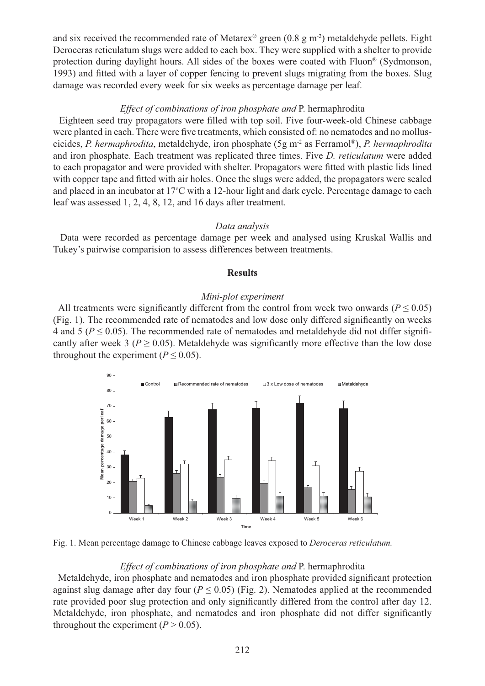and six received the recommended rate of Metarex<sup>®</sup> green (0.8 g m<sup>-2</sup>) metaldehyde pellets. Eight Deroceras reticulatum slugs were added to each box. They were supplied with a shelter to provide protection during daylight hours. All sides of the boxes were coated with Fluon® (Sydmonson, 1993) and fitted with a layer of copper fencing to prevent slugs migrating from the boxes. Slug damage was recorded every week for six weeks as percentage damage per leaf.

# *Effect of combinations of iron phosphate and* P. hermaphrodita

Eighteen seed tray propagators were filled with top soil. Five four-week-old Chinese cabbage were planted in each. There were five treatments, which consisted of: no nematodes and no molluscicides, *P. hermaphrodita*, metaldehyde, iron phosphate (5g m-2 as Ferramol®), *P. hermaphrodita*  and iron phosphate. Each treatment was replicated three times. Five *D. reticulatum* were added to each propagator and were provided with shelter. Propagators were fitted with plastic lids lined with copper tape and fitted with air holes. Once the slugs were added, the propagators were sealed and placed in an incubator at 17°C with a 12-hour light and dark cycle. Percentage damage to each leaf was assessed 1, 2, 4, 8, 12, and 16 days after treatment.

#### *Data analysis*

 Data were recorded as percentage damage per week and analysed using Kruskal Wallis and Tukey's pairwise comparision to assess differences between treatments.

## **Results**

### *Mini-plot experiment*

All treatments were significantly different from the control from week two onwards ( $P \le 0.05$ ) (Fig. 1). The recommended rate of nematodes and low dose only differed significantly on weeks 4 and 5 ( $P \le 0.05$ ). The recommended rate of nematodes and metaldehyde did not differ significantly after week 3 ( $P \ge 0.05$ ). Metaldehyde was significantly more effective than the low dose throughout the experiment ( $P \le 0.05$ ).



Fig. 1. Mean percentage damage to Chinese cabbage leaves exposed to *Deroceras reticulatum.*

# *Effect of combinations of iron phosphate and* P. hermaphrodita

Metaldehyde, iron phosphate and nematodes and iron phosphate provided significant protection against slug damage after day four ( $P \le 0.05$ ) (Fig. 2). Nematodes applied at the recommended rate provided poor slug protection and only significantly differed from the control after day 12. Metaldehyde, iron phosphate, and nematodes and iron phosphate did not differ significantly throughout the experiment  $(P > 0.05)$ .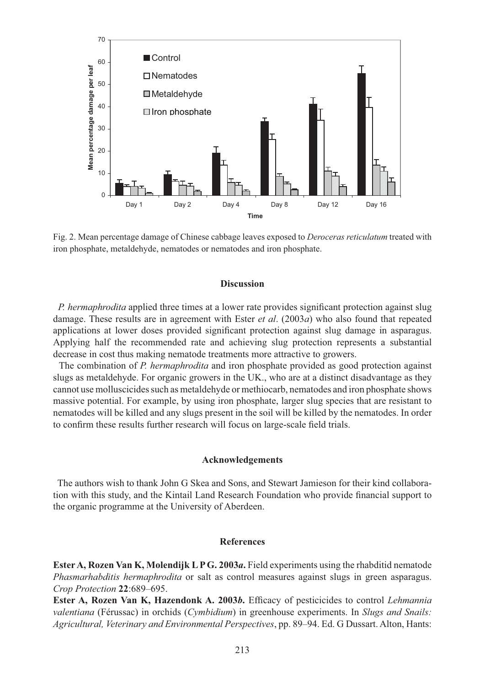

Fig. 2. Mean percentage damage of Chinese cabbage leaves exposed to *Deroceras reticulatum* treated with iron phosphate, metaldehyde, nematodes or nematodes and iron phosphate.

## **Discussion**

*P. hermaphrodita* applied three times at a lower rate provides significant protection against slug damage. These results are in agreement with Ester *et al*. (2003*a*) who also found that repeated applications at lower doses provided significant protection against slug damage in asparagus. Applying half the recommended rate and achieving slug protection represents a substantial decrease in cost thus making nematode treatments more attractive to growers.

 The combination of *P. hermaphrodita* and iron phosphate provided as good protection against slugs as metaldehyde. For organic growers in the UK., who are at a distinct disadvantage as they cannot use molluscicides such as metaldehyde or methiocarb, nematodes and iron phosphate shows massive potential. For example, by using iron phosphate, larger slug species that are resistant to nematodes will be killed and any slugs present in the soil will be killed by the nematodes. In order to confirm these results further research will focus on large-scale field trials.

## **Acknowledgements**

 The authors wish to thank John G Skea and Sons, and Stewart Jamieson for their kind collaboration with this study, and the Kintail Land Research Foundation who provide financial support to the organic programme at the University of Aberdeen.

#### **References**

**Ester A, Rozen Van K, Molendijk L P G. 2003***a***.** Field experiments using the rhabditid nematode *Phasmarhabditis hermaphrodita* or salt as control measures against slugs in green asparagus. *Crop Protection* **22**:689–695.

**Ester A, Rozen Van K, Hazendonk A. 2003b.** Efficacy of pesticicides to control *Lehmannia valentiana* (Férussac) in orchids (*Cymbidium*) in greenhouse experiments. In *Slugs and Snails: Agricultural, Veterinary and Environmental Perspectives*, pp. 89–94. Ed. G Dussart. Alton, Hants: